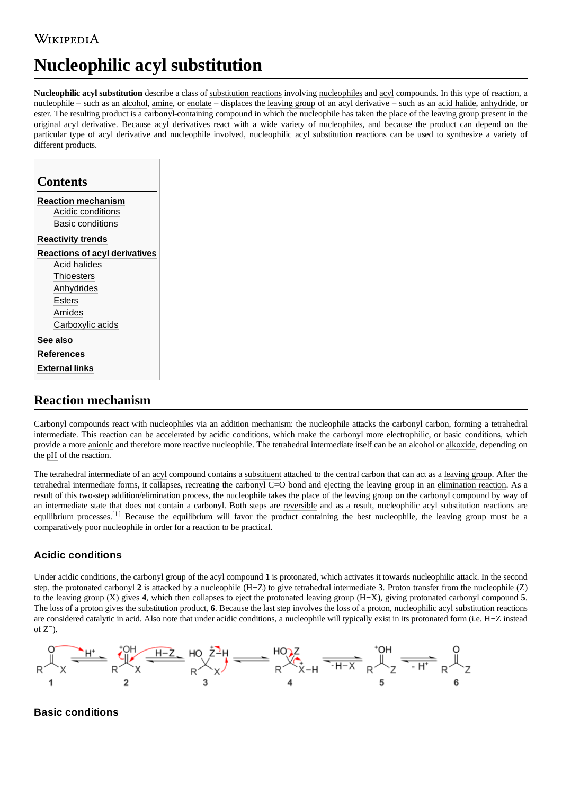# WIKIPEDIA

# **Nucleophilic acyl substitution**

**Nucleophilic acyl substitution** describe a class of [substitution reactions](https://en.wikipedia.org/wiki/Substitution_reaction) involving [nucleophiles](https://en.wikipedia.org/wiki/Nucleophile) and [acyl](https://en.wikipedia.org/wiki/Acyl) compounds. In this type of reaction, a nucleophile – such as an [alcohol](https://en.wikipedia.org/wiki/Alcohol), [amine](https://en.wikipedia.org/wiki/Amine), or [enolate](https://en.wikipedia.org/wiki/Enolate) – displaces the [leaving group](https://en.wikipedia.org/wiki/Leaving_group) of an acyl derivative – such as an [acid halide](https://en.wikipedia.org/wiki/Acid_halide), [anhydride](https://en.wikipedia.org/wiki/Anhydride), or [ester.](https://en.wikipedia.org/wiki/Ester) The resulting product is a [carbonyl-](https://en.wikipedia.org/wiki/Carbonyl)containing compound in which the nucleophile has taken the place of the leaving group present in the original acyl derivative. Because acyl derivatives react with a wide variety of nucleophiles, and because the product can depend on the particular type of acyl derivative and nucleophile involved, nucleophilic acyl substitution reactions can be used to synthesize a variety of different products.

| <b>Contents</b>                      |  |
|--------------------------------------|--|
| <b>Reaction mechanism</b>            |  |
| Acidic conditions                    |  |
| <b>Basic conditions</b>              |  |
| <b>Reactivity trends</b>             |  |
| <b>Reactions of acyl derivatives</b> |  |
| Acid halides                         |  |
| Thioesters                           |  |
| Anhydrides                           |  |
| Esters                               |  |
| Amides                               |  |
| Carboxylic acids                     |  |
| See also                             |  |
| <b>References</b>                    |  |
| <b>External links</b>                |  |

## <span id="page-0-0"></span>**Reaction mechanism**

Carbonyl compounds react with nucleophiles via an addition mechanism: the nucleophile attacks the carbonyl carbon, forming a tetrahedral intermediate. This reaction can be accelerated by [acidic](https://en.wikipedia.org/wiki/Acid) [conditions, which make](https://en.wikipedia.org/wiki/Tetrahedral_intermediate) the carbonyl more [electrophilic](https://en.wikipedia.org/wiki/Electrophile), or [basic](https://en.wikipedia.org/wiki/Base_(chemistry)) conditions, which provide a more [anionic](https://en.wikipedia.org/wiki/Anion) and therefore more reactive nucleophile. The tetrahedral intermediate itself can be an alcohol or [alkoxide,](https://en.wikipedia.org/wiki/Alkoxide) depending on the [pH](https://en.wikipedia.org/wiki/PH) of the reaction.

The tetrahedral intermediate of an [acyl](https://en.wikipedia.org/wiki/Acyl) compound contains a [substituent](https://en.wikipedia.org/wiki/Substituent) attached to the central carbon that can act as a [leaving group](https://en.wikipedia.org/wiki/Leaving_group). After the tetrahedral intermediate forms, it collapses, recreating the carbonyl C=O bond and ejecting the leaving group in an [elimination reaction](https://en.wikipedia.org/wiki/Elimination_reaction). As a result of this two-step addition/elimination process, the nucleophile takes the place of the leaving group on the carbonyl compound by way of an intermediate state that does not contain a carbonyl. Both steps are [reversible](https://en.wikipedia.org/wiki/Reversible_reaction) and as a result, nucleophilic acyl substitution reactions are equilibrium processes.<sup>[\[1\]](#page-5-3)</sup> Because the equilibrium will favor the product containing the best nucleophile, the leaving group must be a comparatively poor nucleophile in order for a reaction to be practical.

### <span id="page-0-1"></span>**Acidic conditions**

Under acidic conditions, the carbonyl group of the acyl compound **1** is protonated, which activates it towards nucleophilic attack. In the second step, the protonated carbonyl **2** is attacked by a nucleophile (H−Z) to give tetrahedral intermediate **3**. Proton transfer from the nucleophile (Z) to the leaving group (X) gives **4**, which then collapses to eject the protonated leaving group (H−X), giving protonated carbonyl compound **5**. The loss of a proton gives the substitution product, **6**. Because the last step involves the loss of a proton, nucleophilic acyl substitution reactions are considered catalytic in acid. Also note that under acidic conditions, a nucleophile will typically exist in its protonated form (i.e. H−Z instead of  $Z^-$ ).



### <span id="page-0-2"></span>**Basic conditions**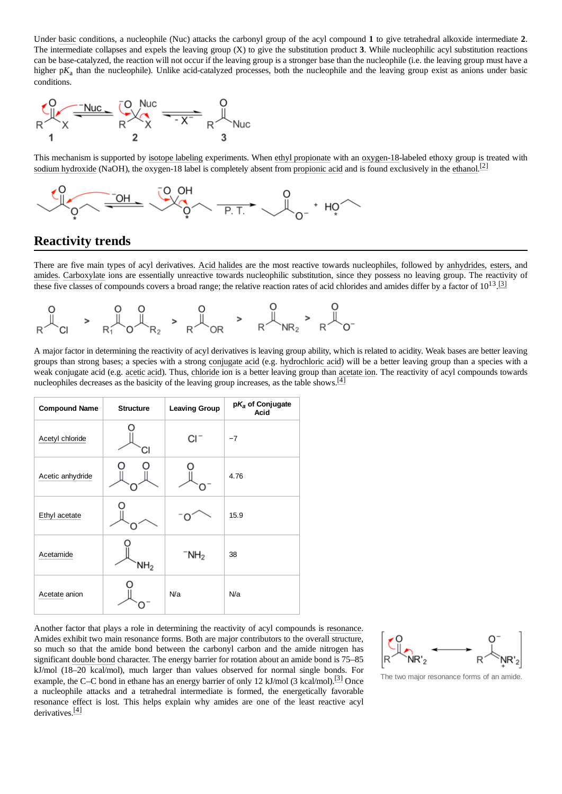Under [basic](https://en.wikipedia.org/wiki/Base_(chemistry)) conditions, a nucleophile (Nuc) attacks the carbonyl group of the acyl compound **1** to give tetrahedral alkoxide intermediate **2**. The intermediate collapses and expels the leaving group (X) to give the substitution product **3**. While nucleophilic acyl substitution reactions can be base-catalyzed, the reaction will not occur if the leaving group is a stronger base than the nucleophile (i.e. the leaving group must have a higher p $K_a$  than the nucleophile). Unlike acid-catalyzed processes, both the nucleophile and the leaving group exist as anions under basic conditions.



This mechanism is supported by [isotope labeling](https://en.wikipedia.org/wiki/Isotope_labeling) experiments. When [ethyl propionate](https://en.wikipedia.org/wiki/Ethyl_propionate) with an [oxygen-18](https://en.wikipedia.org/wiki/Oxygen-18)-labeled ethoxy group is treated with [sodium hydroxide](https://en.wikipedia.org/wiki/Sodium_hydroxide) (NaOH), the oxygen-18 label is completely absent from [propionic acid](https://en.wikipedia.org/wiki/Propionic_acid) and is found exclusively in the [ethanol](https://en.wikipedia.org/wiki/Ethanol).<sup>[\[2\]](#page-5-4)</sup>



# <span id="page-1-0"></span>**Reactivity trends**

There are five main types of acyl derivatives. [Acid halides](https://en.wikipedia.org/wiki/Acid_halide) are the most reactive towards nucleophiles, followed by [anhydrides,](https://en.wikipedia.org/wiki/Anhydride) [esters,](https://en.wikipedia.org/wiki/Ester) and [amides.](https://en.wikipedia.org/wiki/Amide) [Carboxylate](https://en.wikipedia.org/wiki/Carboxylate) ions are essentially unreactive towards nucleophilic substitution, since they possess no leaving group. The reactivity of these five classes of compounds covers a broad range; the relative reaction rates of acid chlorides and amides differ by a factor of  $10^{13}$ . [\[3\]](#page-5-5)



A major factor in determining the reactivity of acyl derivatives is leaving group ability, which is related to acidity. Weak bases are better leaving groups than strong bases; a species with a strong [conjugate](https://en.wikipedia.org/wiki/Conjugate_acid) acid (e.g. [hydrochloric](https://en.wikipedia.org/wiki/Hydrochloric_acid) acid) will be a better leaving group than a species with a weak conjugate acid (e.g. [acetic acid](https://en.wikipedia.org/wiki/Acetic_acid)). Thus, [chloride](https://en.wikipedia.org/wiki/Chloride) ion is a better leaving group than [acetate ion](https://en.wikipedia.org/wiki/Acetate_ion). The reactivity of acyl compounds towards nucleophiles decreases as the basicity of the leaving group increases, as the table shows.<sup>[\[4\]](#page-5-6)</sup>

| <b>Compound Name</b> | <b>Structure</b> | <b>Leaving Group</b> | $pK_a$ of Conjugate<br>Acid |
|----------------------|------------------|----------------------|-----------------------------|
| Acetyl chloride      |                  | CI <sup>-</sup>      | $-7$                        |
| Acetic anhydride     |                  |                      | 4.76                        |
| Ethyl acetate        |                  |                      | 15.9                        |
| Acetamide            | NH <sub>2</sub>  | $\mathsf{NH}_2$      | 38                          |
| Acetate anion        |                  | N/a                  | N/a                         |

Another factor that plays a role in determining the reactivity of acyl compounds is [resonance.](https://en.wikipedia.org/wiki/Resonance_(chemistry)) Amides exhibit two main resonance forms. Both are major contributors to the overall structure, so much so that the amide bond between the carbonyl carbon and the amide nitrogen has significant [double bond](https://en.wikipedia.org/wiki/Double_bond) character. The energy barrier for rotation about an amide bond is 75–85 kJ/mol (18–20 kcal/mol), much larger than values observed for normal single bonds. For example, the C–C bond in ethane has an energy barrier of only 12 kJ/mol (3 kcal/mol).<sup>[\[3\]](#page-5-5)</sup> Once a nucleophile attacks and a tetrahedral intermediate is formed, the energetically favorable resonance effect is lost. This helps explain why amides are one of the least reactive acyl derivatives.[\[4\]](#page-5-6)



The two major resonance forms of an amide.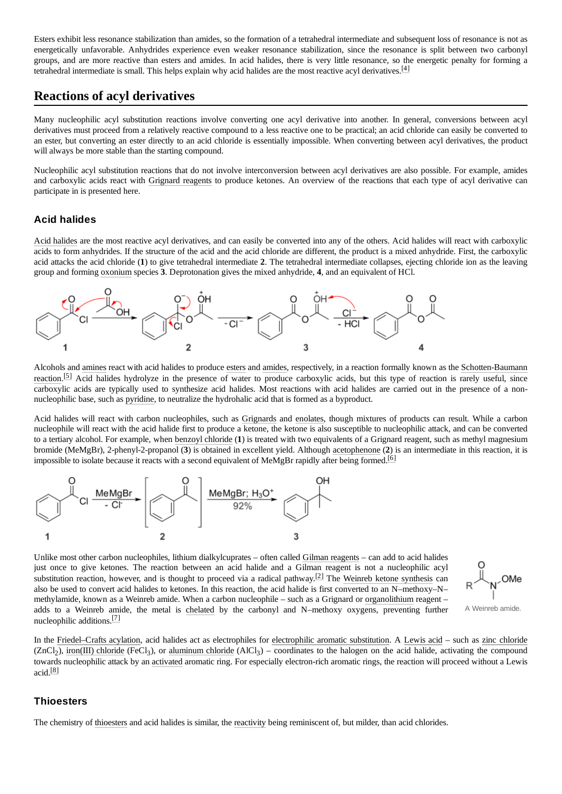Esters exhibit less resonance stabilization than amides, so the formation of a tetrahedral intermediate and subsequent loss of resonance is not as energetically unfavorable. Anhydrides experience even weaker resonance stabilization, since the resonance is split between two carbonyl groups, and are more reactive than esters and amides. In acid halides, there is very little resonance, so the energetic penalty for forming a tetrahedral intermediate is small. This helps explain why acid halides are the most reactive acyl derivatives. $^{[4]}$  $^{[4]}$  $^{[4]}$ 

### <span id="page-2-0"></span>**Reactions of acyl derivatives**

Many nucleophilic acyl substitution reactions involve converting one acyl derivative into another. In general, conversions between acyl derivatives must proceed from a relatively reactive compound to a less reactive one to be practical; an acid chloride can easily be converted to an ester, but converting an ester directly to an acid chloride is essentially impossible. When converting between acyl derivatives, the product will always be more stable than the starting compound.

Nucleophilic acyl substitution reactions that do not involve interconversion between acyl derivatives are also possible. For example, amides and carboxylic acids react with [Grignard reagents](https://en.wikipedia.org/wiki/Grignard_reagent) to produce ketones. An overview of the reactions that each type of acyl derivative can participate in is presented here.

### <span id="page-2-1"></span>**Acid halides**

[Acid halides](https://en.wikipedia.org/wiki/Acid_halides) are the most reactive acyl derivatives, and can easily be converted into any of the others. Acid halides will react with carboxylic acids to form anhydrides. If the structure of the acid and the acid chloride are different, the product is a mixed anhydride. First, the carboxylic acid attacks the acid chloride (**1**) to give tetrahedral intermediate **2**. The tetrahedral intermediate collapses, ejecting chloride ion as the leaving group and forming [oxonium](https://en.wikipedia.org/wiki/Oxonium_ion) species **3**. Deprotonation gives the mixed anhydride, **4**, and an equivalent of HCl.



[Alcohols and](https://en.wikipedia.org/wiki/Schotten-Baumann_reaction) [amines](https://en.wikipedia.org/wiki/Amine) [react with acid halides to produce](https://en.wikipedia.org/wiki/Schotten-Baumann_reaction) [esters](https://en.wikipedia.org/wiki/Ester) and [amides,](https://en.wikipedia.org/wiki/Amide) respectively, in a reaction formally known as the Schotten-Baumann reaction.<sup>[\[5\]](#page-5-7)</sup> Acid halides hydrolyze in the presence of water to produce carboxylic acids, but this type of reaction is rarely useful, since carboxylic acids are typically used to synthesize acid halides. Most reactions with acid halides are carried out in the presence of a nonnucleophilic base, such as [pyridine](https://en.wikipedia.org/wiki/Pyridine), to neutralize the hydrohalic acid that is formed as a byproduct.

Acid halides will react with carbon nucleophiles, such as [Grignards](https://en.wikipedia.org/wiki/Grignard_reagent) and [enolates,](https://en.wikipedia.org/wiki/Enolate) though mixtures of products can result. While a carbon nucleophile will react with the acid halide first to produce a ketone, the ketone is also susceptible to nucleophilic attack, and can be converted to a tertiary alcohol. For example, when [benzoyl chloride](https://en.wikipedia.org/wiki/Benzoyl_chloride) (**1**) is treated with two equivalents of a Grignard reagent, such as methyl magnesium bromide (MeMgBr), 2-phenyl-2-propanol (**3**) is obtained in excellent yield. Although [acetophenone](https://en.wikipedia.org/wiki/Acetophenone) (**2**) is an intermediate in this reaction, it is impossible to isolate because it reacts with a second equivalent of MeMgBr rapidly after being formed.<sup>[\[6\]](#page-5-8)</sup>



Unlike most other carbon nucleophiles, lithium dialkylcuprates – often called [Gilman reagents](https://en.wikipedia.org/wiki/Gilman_reagent) – can add to acid halides just once to give ketones. The reaction between an acid halide and a Gilman reagent is not a nucleophilic acyl substitution reaction, however, and is thought to proceed via a radical pathway.<sup>[\[2\]](#page-5-4)</sup> The [Weinreb ketone](https://en.wikipedia.org/wiki/Weinreb_ketone_synthesis) synthesis can also be used to convert acid halides to ketones. In this reaction, the acid halide is first converted to an N–methoxy–N– methylamide, known as a Weinreb amide. When a carbon nucleophile – such as a Grignard or [organolithium](https://en.wikipedia.org/wiki/Organolithium) reagent – adds to a Weinreb amide, the metal is [chelated](https://en.wikipedia.org/wiki/Chelation) by the carbonyl and N–methoxy oxygens, preventing further nucleophilic additions.<sup>[\[7\]](#page-5-9)</sup>



A Weinreb amide.

In the [Friedel–Crafts](https://en.wikipedia.org/wiki/Friedel%E2%80%93Crafts_acylation) acylation, acid halides act as electrophiles for [electrophilic](https://en.wikipedia.org/wiki/Electrophilic_aromatic_substitution) aromatic substitution. A [Lewis](https://en.wikipedia.org/wiki/Lewis_acid) acid – such as zinc [chloride](https://en.wikipedia.org/wiki/Zinc_chloride) (ZnCl<sub>2</sub>), iron(III) [chloride](https://en.wikipedia.org/wiki/Iron(III)_chloride) (FeCl<sub>3</sub>), or [aluminum](https://en.wikipedia.org/wiki/Aluminum_chloride) chloride (AlCl<sub>3</sub>) – coordinates to the halogen on the acid halide, activating the compound towards nucleophilic attack by an [activated](https://en.wikipedia.org/wiki/Electrophilic_aromatic_substitution#Effect_of_substituent_groups) aromatic ring. For especially electron-rich aromatic rings, the reaction will proceed without a Lewis  $acid.$ [\[8\]](#page-5-10)

### <span id="page-2-2"></span>**Thioesters**

The chemistry of [thioesters](https://en.wikipedia.org/wiki/Thioester) and acid halides is similar, the [reactivity](https://en.wikipedia.org/wiki/Thioester#Reactions) being reminiscent of, but milder, than acid chlorides.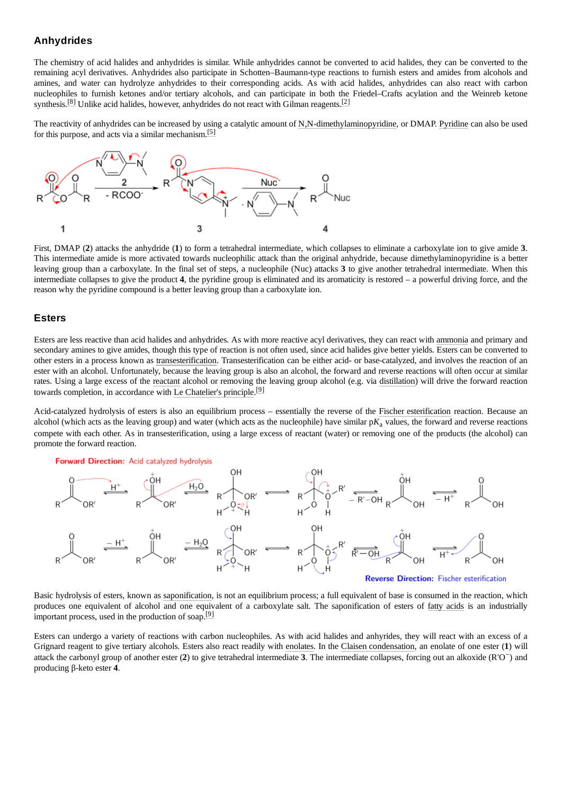#### <span id="page-3-0"></span>**Anhydrides**

The chemistry of acid halides and anhydrides is similar. While anhydrides cannot be converted to acid halides, they can be converted to the remaining acyl derivatives. Anhydrides also participate in Schotten–Baumann-type reactions to furnish esters and amides from alcohols and amines, and water can hydrolyze anhydrides to their corresponding acids. As with acid halides, anhydrides can also react with carbon nucleophiles to furnish ketones and/or tertiary alcohols, and can participate in both the Friedel–Crafts acylation and the Weinreb ketone synthesis.<sup>[\[8\]](#page-5-10)</sup> Unlike acid halides, however, anhydrides do not react with Gilman reagents.<sup>[\[2\]](#page-5-4)</sup>

The reactivity of anhydrides can be increased by using a catalytic amount of [N,N-dimethylaminopyridine](https://en.wikipedia.org/wiki/4-dimethylaminopyridine), or DMAP. [Pyridine](https://en.wikipedia.org/wiki/Pyridine) can also be used for this purpose, and acts via a similar mechanism.<sup>[\[5\]](#page-5-7)</sup>



First, DMAP (**2**) attacks the anhydride (**1**) to form a tetrahedral intermediate, which collapses to eliminate a carboxylate ion to give amide **3**. This intermediate amide is more activated towards nucleophilic attack than the original anhydride, because dimethylaminopyridine is a better leaving group than a carboxylate. In the final set of steps, a nucleophile (Nuc) attacks **3** to give another tetrahedral intermediate. When this intermediate collapses to give the product **4**, the pyridine group is eliminated and its aromaticity is restored – a powerful driving force, and the reason why the pyridine compound is a better leaving group than a carboxylate ion.

#### <span id="page-3-1"></span>**Esters**

Esters are less reactive than acid halides and anhydrides. As with more reactive acyl derivatives, they can react with [ammonia](https://en.wikipedia.org/wiki/Ammonia) and primary and secondary amines to give amides, though this type of reaction is not often used, since acid halides give better yields. Esters can be converted to other esters in a process known as [transesterification.](https://en.wikipedia.org/wiki/Transesterification) Transesterification can be either acid- or base-catalyzed, and involves the reaction of an ester with an alcohol. Unfortunately, because the leaving group is also an alcohol, the forward and reverse reactions will often occur at similar rates. Using a large excess of the [reactant](https://en.wikipedia.org/wiki/Reactant) alcohol or removing the leaving group alcohol (e.g. via [distillation\)](https://en.wikipedia.org/wiki/Distillation) will drive the forward reaction towards completion, in accordance with [Le Chatelier's principle](https://en.wikipedia.org/wiki/Le_Chatelier%27s_principle).<sup>[\[9\]](#page-5-11)</sup>

Acid-catalyzed hydrolysis of esters is also an equilibrium process – essentially the reverse of the Fischer [esterification](https://en.wikipedia.org/wiki/Fischer_esterification) reaction. Because an alcohol (which acts as the leaving group) and water (which acts as the nucleophile) have similar  $pK<sub>a</sub>$  values, the forward and reverse reactions compete with each other. As in transesterification, using a large excess of reactant (water) or removing one of the products (the alcohol) can promote the forward reaction.

**Forward Direction: Acid catalyzed hydrolysis** 



Basic hydrolysis of esters, known as [saponification](https://en.wikipedia.org/wiki/Saponification), is not an equilibrium process; a full equivalent of base is consumed in the reaction, which produces one equivalent of alcohol and one equivalent of a carboxylate salt. The saponification of esters of [fatty acids](https://en.wikipedia.org/wiki/Fatty_acid) is an industrially important process, used in the production of soap. $[9]$ 

Esters can undergo a variety of reactions with carbon nucleophiles. As with acid halides and anhyrides, they will react with an excess of a Grignard reagent to give tertiary alcohols. Esters also react readily with [enolates](https://en.wikipedia.org/wiki/Enolate). In the [Claisen condensation](https://en.wikipedia.org/wiki/Claisen_condensation), an enolate of one ester (**1**) will attack the carbonyl group of another ester (**2**) to give tetrahedral intermediate **3**. The intermediate collapses, forcing out an alkoxide (R'O − ) and producing β-keto ester **4**.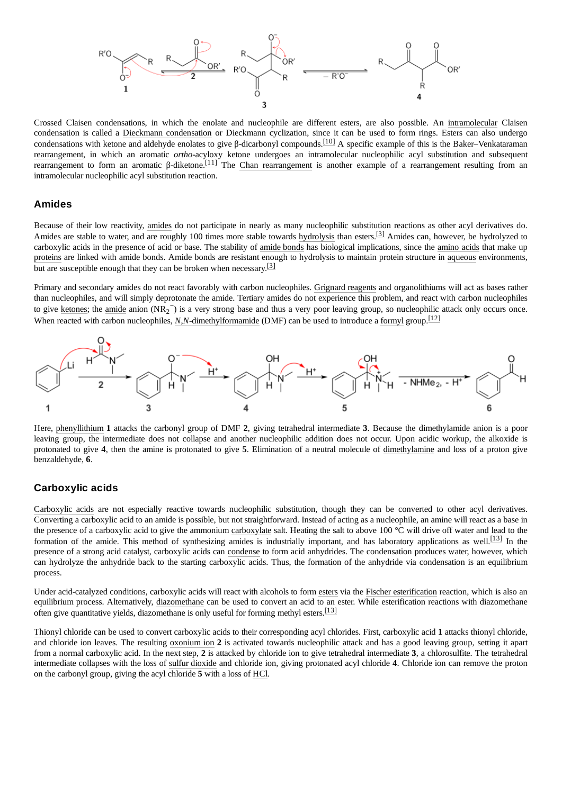

Crossed Claisen condensations, in which the enolate and nucleophile are different esters, are also possible. An [intramolecular](https://en.wikipedia.org/wiki/Intramolecular_reaction) Claisen condensation is called a [Dieckmann condensation](https://en.wikipedia.org/wiki/Dieckmann_condensation) or Dieckmann cyclization, since it can be used to form rings. Esters can also undergo condensations with ketone and aldehyde enolates to give β-dicarbonyl compounds.<sup>[\[10\]](#page-5-12)</sup> A specific example of this is the Baker–Venkataraman [rearrangement, in which an aromatic](https://en.wikipedia.org/wiki/Baker%E2%80%93Venkataraman_rearrangement) *ortho*-acyloxy ketone undergoes an intramolecular nucleophilic acyl substitution and subsequent **rearrangement to form an aromatic β-diketone.**<sup>[\[11\]](#page-5-13)</sup> The [Chan rearrangement](https://en.wikipedia.org/wiki/Chan_rearrangement) is another example of a rearrangement resulting from an intramolecular nucleophilic acyl substitution reaction.

#### <span id="page-4-0"></span>**Amides**

Because of their low reactivity, [amides](https://en.wikipedia.org/wiki/Amide) do not participate in nearly as many nucleophilic substitution reactions as other acyl derivatives do. Amides are stable to water, and are roughly 100 times more stable towards [hydrolysis](https://en.wikipedia.org/wiki/Hydrolysis) than esters.<sup>[\[3\]](#page-5-5)</sup> Amides can, however, be hydrolyzed to carboxylic acids in the presence of acid or base. The stability of [amide bonds](https://en.wikipedia.org/wiki/Peptide_bond) has biological implications, since the [amino acids](https://en.wikipedia.org/wiki/Amino_acid) that make up [proteins](https://en.wikipedia.org/wiki/Protein) are linked with amide bonds. Amide bonds are resistant enough to hydrolysis to maintain protein structure in [aqueous](https://en.wikipedia.org/wiki/Aqueous) environments, but are susceptible enough that they can be broken when necessary.  $\boxed{3}$ 

Primary and secondary amides do not react favorably with carbon nucleophiles. [Grignard reagents](https://en.wikipedia.org/wiki/Grignard_reagent) and organolithiums will act as bases rather than nucleophiles, and will simply deprotonate the amide. Tertiary amides do not experience this problem, and react with carbon nucleophiles to give [ketones](https://en.wikipedia.org/wiki/Ketone); the [amide](https://en.wikipedia.org/wiki/Sodium_amide) anion (NR<sub>2</sub><sup>-</sup>) is a very strong base and thus a very poor leaving group, so nucleophilic attack only occurs once. When reacted with carbon nucleophiles, *N*,*N*[-dimethylformamide](https://en.wikipedia.org/wiki/N,N-dimethylformamide) (DMF) can be used to introduce a [formyl](https://en.wikipedia.org/wiki/Formyl) group.[\[12\]](#page-5-14)



Here, [phenyllithium](https://en.wikipedia.org/wiki/Phenyllithium) **1** attacks the carbonyl group of DMF **2**, giving tetrahedral intermediate **3**. Because the dimethylamide anion is a poor leaving group, the intermediate does not collapse and another nucleophilic addition does not occur. Upon acidic workup, the alkoxide is protonated to give **4**, then the amine is protonated to give **5**. Elimination of a neutral molecule of [dimethylamine](https://en.wikipedia.org/wiki/Dimethylamine) and loss of a proton give benzaldehyde, **6**.

#### <span id="page-4-1"></span>**Carboxylic acids**

[Carboxylic](https://en.wikipedia.org/wiki/Carboxylic_acid) acids are not especially reactive towards nucleophilic substitution, though they can be converted to other acyl derivatives. Converting a carboxylic acid to an amide is possible, but not straightforward. Instead of acting as a nucleophile, an amine will react as a base in the presence of a carboxylic acid to give the ammonium [carboxylate](https://en.wikipedia.org/wiki/Carboxylate) salt. Heating the salt to above 100 °C will drive off water and lead to the formation of the amide. This method of synthesizing amides is industrially important, and has laboratory applications as well.<sup>[\[13\]](#page-5-15)</sup> In the presence of a strong acid catalyst, carboxylic acids can [condense](https://en.wikipedia.org/wiki/Condensation_reaction) to form acid anhydrides. The condensation produces water, however, which can hydrolyze the anhydride back to the starting carboxylic acids. Thus, the formation of the anhydride via condensation is an equilibrium process.

Under acid-catalyzed conditions, carboxylic acids will react with alcohols to form [esters](https://en.wikipedia.org/wiki/Ester) via the [Fischer esterification](https://en.wikipedia.org/wiki/Fischer_esterification) reaction, which is also an equilibrium process. Alternatively, [diazomethane](https://en.wikipedia.org/wiki/Diazomethane) can be used to convert an acid to an ester. While esterification reactions with diazomethane often give quantitative yields, diazomethane is only useful for forming methyl esters.<sup>[\[13\]](#page-5-15)</sup>

[Thionyl chloride](https://en.wikipedia.org/wiki/Thionyl_chloride) can be used to convert carboxylic acids to their corresponding acyl chlorides. First, carboxylic acid **1** attacks thionyl chloride, and chloride ion leaves. The resulting [oxonium](https://en.wikipedia.org/wiki/Oxonium_ion) ion **2** is activated towards nucleophilic attack and has a good leaving group, setting it apart from a normal carboxylic acid. In the next step, **2** is attacked by chloride ion to give tetrahedral intermediate **3**, a chlorosulfite. The tetrahedral intermediate collapses with the loss of [sulfur dioxide](https://en.wikipedia.org/wiki/Sulfur_dioxide) and chloride ion, giving protonated acyl chloride **4**. Chloride ion can remove the proton on the carbonyl group, giving the acyl chloride **5** with a loss of [HCl.](https://en.wikipedia.org/wiki/Hydrogen_chloride)